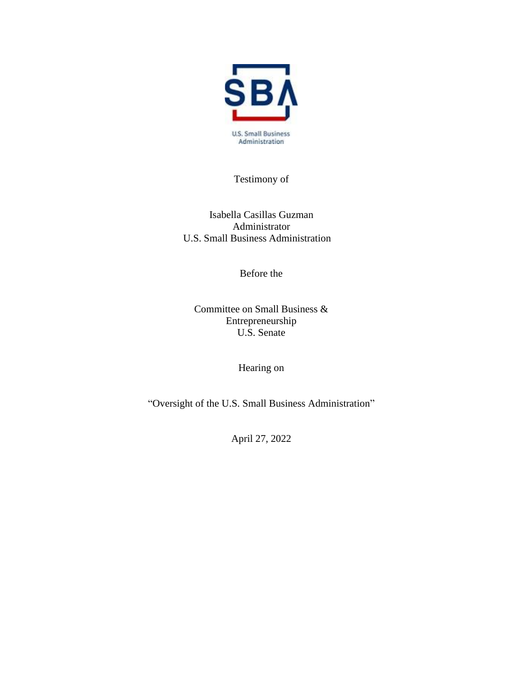

Testimony of

Isabella Casillas Guzman Administrator U.S. Small Business Administration

Before the

Committee on Small Business & Entrepreneurship U.S. Senate

Hearing on

"Oversight of the U.S. Small Business Administration"

April 27, 2022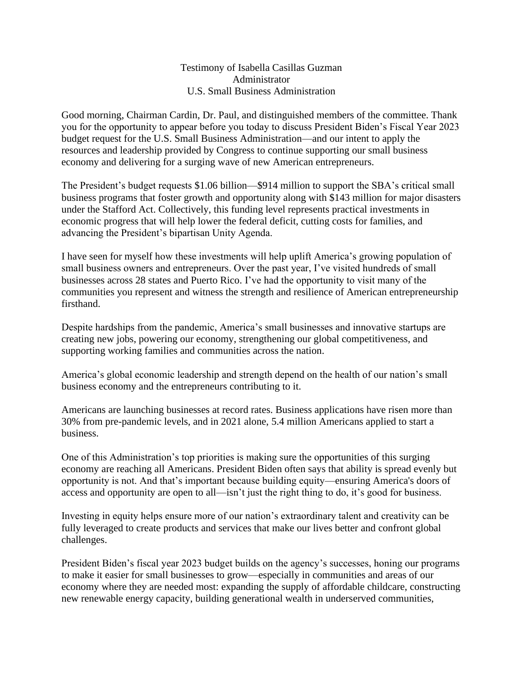#### Testimony of Isabella Casillas Guzman Administrator U.S. Small Business Administration

Good morning, Chairman Cardin, Dr. Paul, and distinguished members of the committee. Thank you for the opportunity to appear before you today to discuss President Biden's Fiscal Year 2023 budget request for the U.S. Small Business Administration—and our intent to apply the resources and leadership provided by Congress to continue supporting our small business economy and delivering for a surging wave of new American entrepreneurs.

The President's budget requests \$1.06 billion—\$914 million to support the SBA's critical small business programs that foster growth and opportunity along with \$143 million for major disasters under the Stafford Act. Collectively, this funding level represents practical investments in economic progress that will help lower the federal deficit, cutting costs for families, and advancing the President's bipartisan Unity Agenda.

I have seen for myself how these investments will help uplift America's growing population of small business owners and entrepreneurs. Over the past year, I've visited hundreds of small businesses across 28 states and Puerto Rico. I've had the opportunity to visit many of the communities you represent and witness the strength and resilience of American entrepreneurship firsthand.

Despite hardships from the pandemic, America's small businesses and innovative startups are creating new jobs, powering our economy, strengthening our global competitiveness, and supporting working families and communities across the nation.

America's global economic leadership and strength depend on the health of our nation's small business economy and the entrepreneurs contributing to it.

Americans are launching businesses at record rates. Business applications have risen more than 30% from pre-pandemic levels, and in 2021 alone, 5.4 million Americans applied to start a business.

One of this Administration's top priorities is making sure the opportunities of this surging economy are reaching all Americans. President Biden often says that ability is spread evenly but opportunity is not. And that's important because building equity—ensuring America's doors of access and opportunity are open to all—isn't just the right thing to do, it's good for business.

Investing in equity helps ensure more of our nation's extraordinary talent and creativity can be fully leveraged to create products and services that make our lives better and confront global challenges.

President Biden's fiscal year 2023 budget builds on the agency's successes, honing our programs to make it easier for small businesses to grow—especially in communities and areas of our economy where they are needed most: expanding the supply of affordable childcare, constructing new renewable energy capacity, building generational wealth in underserved communities,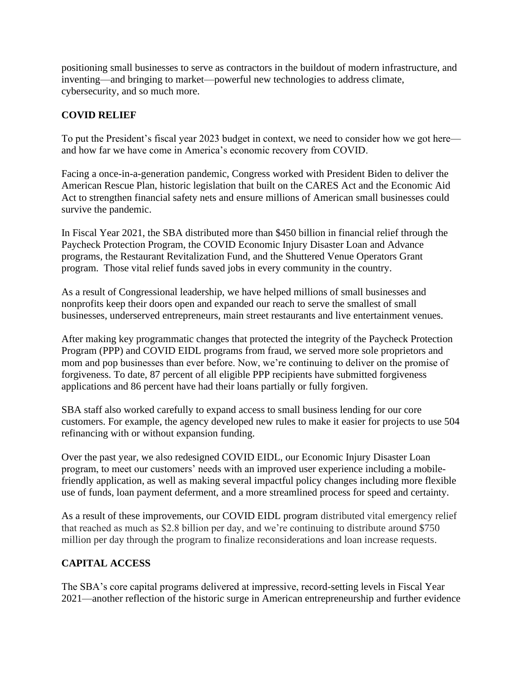positioning small businesses to serve as contractors in the buildout of modern infrastructure, and inventing—and bringing to market—powerful new technologies to address climate, cybersecurity, and so much more.

## **COVID RELIEF**

To put the President's fiscal year 2023 budget in context, we need to consider how we got here and how far we have come in America's economic recovery from COVID.

Facing a once-in-a-generation pandemic, Congress worked with President Biden to deliver the American Rescue Plan, historic legislation that built on the CARES Act and the Economic Aid Act to strengthen financial safety nets and ensure millions of American small businesses could survive the pandemic.

In Fiscal Year 2021, the SBA distributed more than \$450 billion in financial relief through the Paycheck Protection Program, the COVID Economic Injury Disaster Loan and Advance programs, the Restaurant Revitalization Fund, and the Shuttered Venue Operators Grant program. Those vital relief funds saved jobs in every community in the country.

As a result of Congressional leadership, we have helped millions of small businesses and nonprofits keep their doors open and expanded our reach to serve the smallest of small businesses, underserved entrepreneurs, main street restaurants and live entertainment venues.

After making key programmatic changes that protected the integrity of the Paycheck Protection Program (PPP) and COVID EIDL programs from fraud, we served more sole proprietors and mom and pop businesses than ever before. Now, we're continuing to deliver on the promise of forgiveness. To date, 87 percent of all eligible PPP recipients have submitted forgiveness applications and 86 percent have had their loans partially or fully forgiven.

SBA staff also worked carefully to expand access to small business lending for our core customers. For example, the agency developed new rules to make it easier for projects to use 504 refinancing with or without expansion funding.

Over the past year, we also redesigned COVID EIDL, our Economic Injury Disaster Loan program, to meet our customers' needs with an improved user experience including a mobilefriendly application, as well as making several impactful policy changes including more flexible use of funds, loan payment deferment, and a more streamlined process for speed and certainty.

As a result of these improvements, our COVID EIDL program distributed vital emergency relief that reached as much as \$2.8 billion per day, and we're continuing to distribute around \$750 million per day through the program to finalize reconsiderations and loan increase requests.

# **CAPITAL ACCESS**

The SBA's core capital programs delivered at impressive, record-setting levels in Fiscal Year 2021—another reflection of the historic surge in American entrepreneurship and further evidence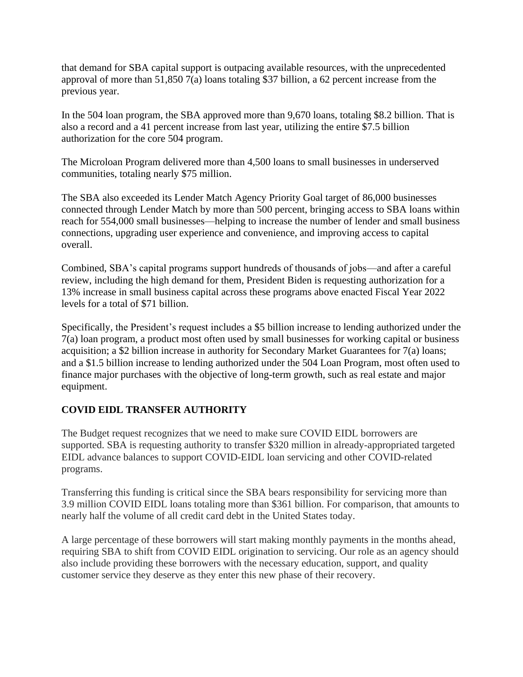that demand for SBA capital support is outpacing available resources, with the unprecedented approval of more than 51,850 7(a) loans totaling \$37 billion, a 62 percent increase from the previous year.

In the 504 loan program, the SBA approved more than 9,670 loans, totaling \$8.2 billion. That is also a record and a 41 percent increase from last year, utilizing the entire \$7.5 billion authorization for the core 504 program.

The Microloan Program delivered more than 4,500 loans to small businesses in underserved communities, totaling nearly \$75 million.

The SBA also exceeded its Lender Match Agency Priority Goal target of 86,000 businesses connected through Lender Match by more than 500 percent, bringing access to SBA loans within reach for 554,000 small businesses—helping to increase the number of lender and small business connections, upgrading user experience and convenience, and improving access to capital overall.

Combined, SBA's capital programs support hundreds of thousands of jobs—and after a careful review, including the high demand for them, President Biden is requesting authorization for a 13% increase in small business capital across these programs above enacted Fiscal Year 2022 levels for a total of \$71 billion.

Specifically, the President's request includes a \$5 billion increase to lending authorized under the 7(a) loan program, a product most often used by small businesses for working capital or business acquisition; a \$2 billion increase in authority for Secondary Market Guarantees for 7(a) loans; and a \$1.5 billion increase to lending authorized under the 504 Loan Program, most often used to finance major purchases with the objective of long-term growth, such as real estate and major equipment.

# **COVID EIDL TRANSFER AUTHORITY**

The Budget request recognizes that we need to make sure COVID EIDL borrowers are supported. SBA is requesting authority to transfer \$320 million in already-appropriated targeted EIDL advance balances to support COVID-EIDL loan servicing and other COVID-related programs.

Transferring this funding is critical since the SBA bears responsibility for servicing more than 3.9 million COVID EIDL loans totaling more than \$361 billion. For comparison, that amounts to nearly half the volume of all credit card debt in the United States today.

A large percentage of these borrowers will start making monthly payments in the months ahead, requiring SBA to shift from COVID EIDL origination to servicing. Our role as an agency should also include providing these borrowers with the necessary education, support, and quality customer service they deserve as they enter this new phase of their recovery.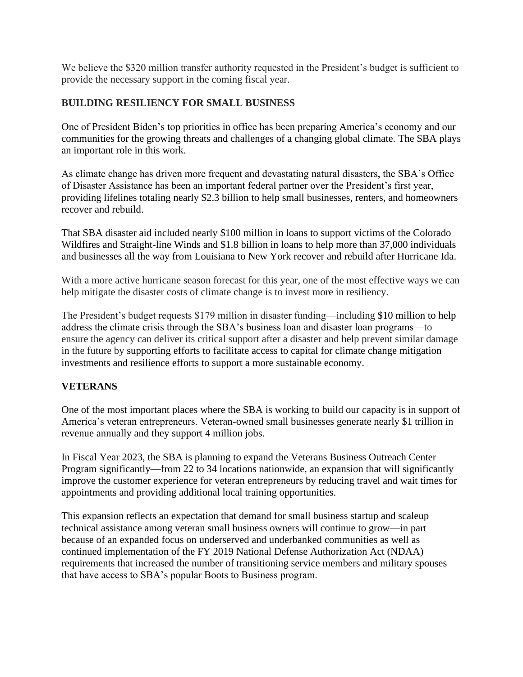We believe the \$320 million transfer authority requested in the President's budget is sufficient to provide the necessary support in the coming fiscal year.

### **BUILDING RESILIENCY FOR SMALL BUSINESS**

One of President Biden's top priorities in office has been preparing America's economy and our communities for the growing threats and challenges of a changing global climate. The SBA plays an important role in this work.

As climate change has driven more frequent and devastating natural disasters, the SBA's Office of Disaster Assistance has been an important federal partner over the President's first year, providing lifelines totaling nearly \$2.3 billion to help small businesses, renters, and homeowners recover and rebuild.

That SBA disaster aid included nearly \$100 million in loans to support victims of the Colorado Wildfires and Straight-line Winds and \$1.8 billion in loans to help more than 37,000 individuals and businesses all the way from Louisiana to New York recover and rebuild after Hurricane Ida.

With a more active hurricane season forecast for this year, one of the most effective ways we can help mitigate the disaster costs of climate change is to invest more in resiliency.

The President's budget requests \$179 million in disaster funding—including \$10 million to help address the climate crisis through the SBA's business loan and disaster loan programs—to ensure the agency can deliver its critical support after a disaster and help prevent similar damage in the future by supporting efforts to facilitate access to capital for climate change mitigation investments and resilience efforts to support a more sustainable economy.

### **VETERANS**

One of the most important places where the SBA is working to build our capacity is in support of America's veteran entrepreneurs. Veteran-owned small businesses generate nearly \$1 trillion in revenue annually and they support 4 million jobs.

In Fiscal Year 2023, the SBA is planning to expand the Veterans Business Outreach Center Program significantly—from 22 to 34 locations nationwide, an expansion that will significantly improve the customer experience for veteran entrepreneurs by reducing travel and wait times for appointments and providing additional local training opportunities.

This expansion reflects an expectation that demand for small business startup and scaleup technical assistance among veteran small business owners will continue to grow—in part because of an expanded focus on underserved and underbanked communities as well as continued implementation of the FY 2019 National Defense Authorization Act (NDAA) requirements that increased the number of transitioning service members and military spouses that have access to SBA's popular Boots to Business program.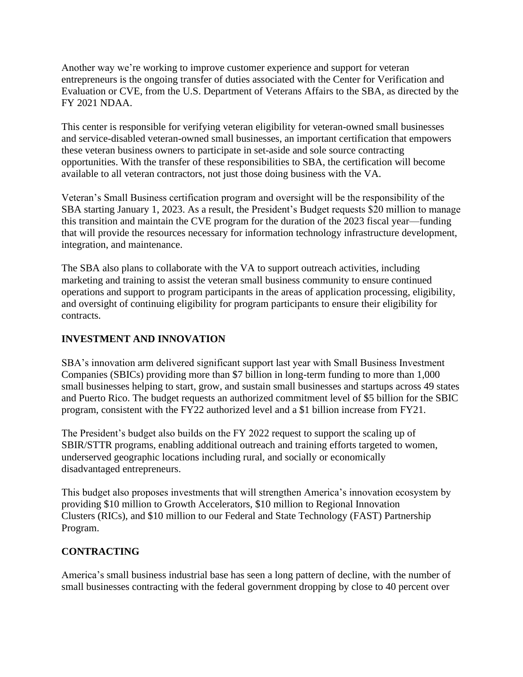Another way we're working to improve customer experience and support for veteran entrepreneurs is the ongoing transfer of duties associated with the Center for Verification and Evaluation or CVE, from the U.S. Department of Veterans Affairs to the SBA, as directed by the FY 2021 NDAA.

This center is responsible for verifying veteran eligibility for veteran-owned small businesses and service-disabled veteran-owned small businesses, an important certification that empowers these veteran business owners to participate in set-aside and sole source contracting opportunities. With the transfer of these responsibilities to SBA, the certification will become available to all veteran contractors, not just those doing business with the VA.

Veteran's Small Business certification program and oversight will be the responsibility of the SBA starting January 1, 2023. As a result, the President's Budget requests \$20 million to manage this transition and maintain the CVE program for the duration of the 2023 fiscal year—funding that will provide the resources necessary for information technology infrastructure development, integration, and maintenance.

The SBA also plans to collaborate with the VA to support outreach activities, including marketing and training to assist the veteran small business community to ensure continued operations and support to program participants in the areas of application processing, eligibility, and oversight of continuing eligibility for program participants to ensure their eligibility for contracts.

# **INVESTMENT AND INNOVATION**

SBA's innovation arm delivered significant support last year with Small Business Investment Companies (SBICs) providing more than \$7 billion in long-term funding to more than 1,000 small businesses helping to start, grow, and sustain small businesses and startups across 49 states and Puerto Rico. The budget requests an authorized commitment level of \$5 billion for the SBIC program, consistent with the FY22 authorized level and a \$1 billion increase from FY21.

The President's budget also builds on the FY 2022 request to support the scaling up of SBIR/STTR programs, enabling additional outreach and training efforts targeted to women, underserved geographic locations including rural, and socially or economically disadvantaged entrepreneurs.

This budget also proposes investments that will strengthen America's innovation ecosystem by providing \$10 million to Growth Accelerators, \$10 million to Regional Innovation Clusters (RICs), and \$10 million to our Federal and State Technology (FAST) Partnership Program.

### **CONTRACTING**

America's small business industrial base has seen a long pattern of decline, with the number of small businesses contracting with the federal government dropping by close to 40 percent over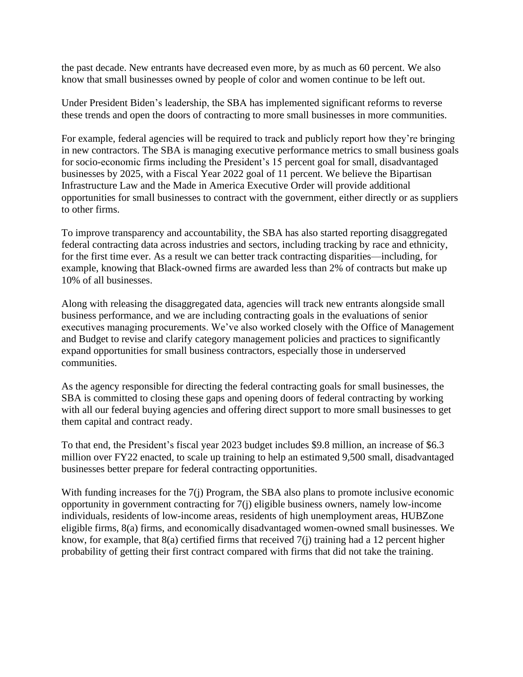the past decade. New entrants have decreased even more, by as much as 60 percent. We also know that small businesses owned by people of color and women continue to be left out.

Under President Biden's leadership, the SBA has implemented significant reforms to reverse these trends and open the doors of contracting to more small businesses in more communities.

For example, federal agencies will be required to track and publicly report how they're bringing in new contractors. The SBA is managing executive performance metrics to small business goals for socio-economic firms including the President's 15 percent goal for small, disadvantaged businesses by 2025, with a Fiscal Year 2022 goal of 11 percent. We believe the Bipartisan Infrastructure Law and the Made in America Executive Order will provide additional opportunities for small businesses to contract with the government, either directly or as suppliers to other firms.

To improve transparency and accountability, the SBA has also started reporting disaggregated federal contracting data across industries and sectors, including tracking by race and ethnicity, for the first time ever. As a result we can better track contracting disparities—including, for example, knowing that Black-owned firms are awarded less than 2% of contracts but make up 10% of all businesses.

Along with releasing the disaggregated data, agencies will track new entrants alongside small business performance, and we are including contracting goals in the evaluations of senior executives managing procurements. We've also worked closely with the Office of Management and Budget to revise and clarify category management policies and practices to significantly expand opportunities for small business contractors, especially those in underserved communities.

As the agency responsible for directing the federal contracting goals for small businesses, the SBA is committed to closing these gaps and opening doors of federal contracting by working with all our federal buying agencies and offering direct support to more small businesses to get them capital and contract ready.

To that end, the President's fiscal year 2023 budget includes \$9.8 million, an increase of \$6.3 million over FY22 enacted, to scale up training to help an estimated 9,500 small, disadvantaged businesses better prepare for federal contracting opportunities.

With funding increases for the 7(j) Program, the SBA also plans to promote inclusive economic opportunity in government contracting for 7(j) eligible business owners, namely low-income individuals, residents of low-income areas, residents of high unemployment areas, HUBZone eligible firms, 8(a) firms, and economically disadvantaged women-owned small businesses. We know, for example, that 8(a) certified firms that received 7(j) training had a 12 percent higher probability of getting their first contract compared with firms that did not take the training.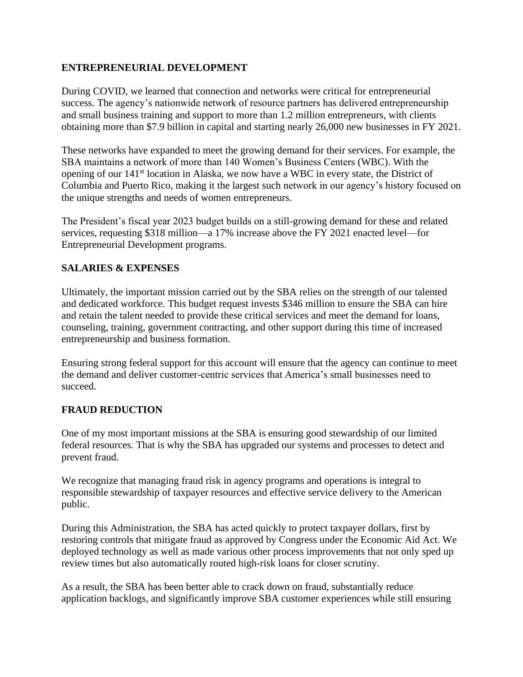### **ENTREPRENEURIAL DEVELOPMENT**

During COVID, we learned that connection and networks were critical for entrepreneurial success. The agency's nationwide network of resource partners has delivered entrepreneurship and small business training and support to more than 1.2 million entrepreneurs, with clients obtaining more than \$7.9 billion in capital and starting nearly 26,000 new businesses in FY 2021.

These networks have expanded to meet the growing demand for their services. For example, the SBA maintains a network of more than 140 Women's Business Centers (WBC). With the opening of our 141st location in Alaska, we now have a WBC in every state, the District of Columbia and Puerto Rico, making it the largest such network in our agency's history focused on the unique strengths and needs of women entrepreneurs.

The President's fiscal year 2023 budget builds on a still-growing demand for these and related services, requesting \$318 million—a 17% increase above the FY 2021 enacted level—for Entrepreneurial Development programs.

### **SALARIES & EXPENSES**

Ultimately, the important mission carried out by the SBA relies on the strength of our talented and dedicated workforce. This budget request invests \$346 million to ensure the SBA can hire and retain the talent needed to provide these critical services and meet the demand for loans, counseling, training, government contracting, and other support during this time of increased entrepreneurship and business formation.

Ensuring strong federal support for this account will ensure that the agency can continue to meet the demand and deliver customer-centric services that America's small businesses need to succeed.

### **FRAUD REDUCTION**

One of my most important missions at the SBA is ensuring good stewardship of our limited federal resources. That is why the SBA has upgraded our systems and processes to detect and prevent fraud.

We recognize that managing fraud risk in agency programs and operations is integral to responsible stewardship of taxpayer resources and effective service delivery to the American public.

During this Administration, the SBA has acted quickly to protect taxpayer dollars, first by restoring controls that mitigate fraud as approved by Congress under the Economic Aid Act. We deployed technology as well as made various other process improvements that not only sped up review times but also automatically routed high-risk loans for closer scrutiny.

As a result, the SBA has been better able to crack down on fraud, substantially reduce application backlogs, and significantly improve SBA customer experiences while still ensuring